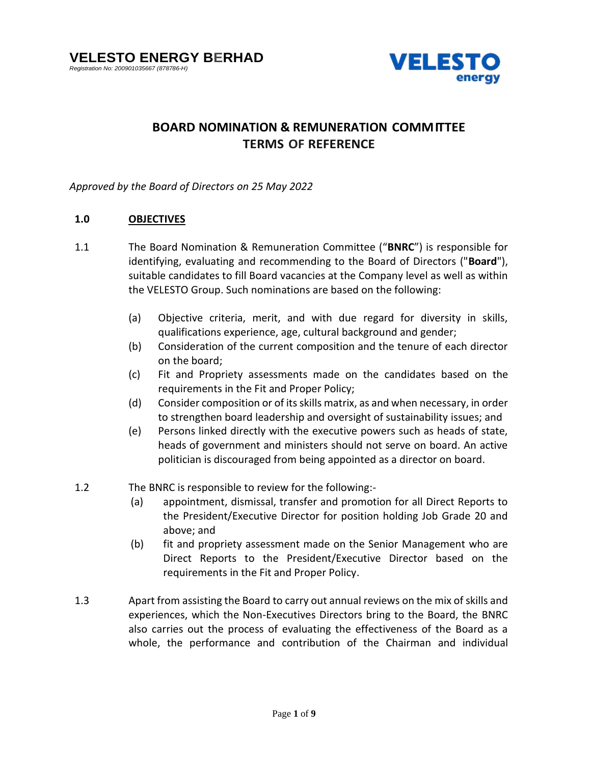

# **BOARD NOMINATION & REMUNERATION COMMITTEE TERMS OF REFERENCE**

*Approved by the Board of Directors on 25 May 2022*

## **1.0 OBJECTIVES**

- 1.1 The Board Nomination & Remuneration Committee ("**BNRC**") is responsible for identifying, evaluating and recommending to the Board of Directors ("**Board**"), suitable candidates to fill Board vacancies at the Company level as well as within the VELESTO Group. Such nominations are based on the following:
	- (a) Objective criteria, merit, and with due regard for diversity in skills, qualifications experience, age, cultural background and gender;
	- (b) Consideration of the current composition and the tenure of each director on the board;
	- (c) Fit and Propriety assessments made on the candidates based on the requirements in the Fit and Proper Policy;
	- (d) Consider composition or of its skills matrix, as and when necessary, in order to strengthen board leadership and oversight of sustainability issues; and
	- (e) Persons linked directly with the executive powers such as heads of state, heads of government and ministers should not serve on board. An active politician is discouraged from being appointed as a director on board.
- 1.2 The BNRC is responsible to review for the following:-
	- (a) appointment, dismissal, transfer and promotion for all Direct Reports to the President/Executive Director for position holding Job Grade 20 and above; and
	- (b) fit and propriety assessment made on the Senior Management who are Direct Reports to the President/Executive Director based on the requirements in the Fit and Proper Policy.
- 1.3 Apart from assisting the Board to carry out annual reviews on the mix of skills and experiences, which the Non-Executives Directors bring to the Board, the BNRC also carries out the process of evaluating the effectiveness of the Board as a whole, the performance and contribution of the Chairman and individual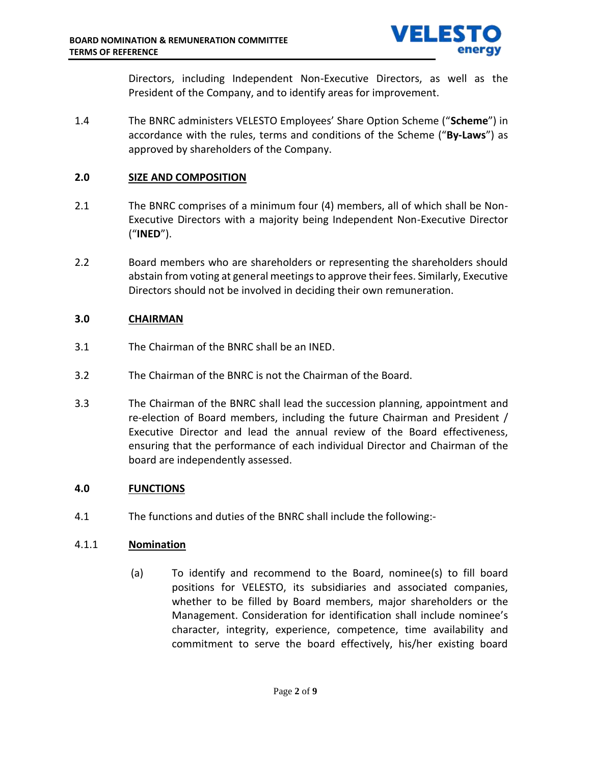

Directors, including Independent Non-Executive Directors, as well as the President of the Company, and to identify areas for improvement.

1.4 The BNRC administers VELESTO Employees' Share Option Scheme ("**Scheme**") in accordance with the rules, terms and conditions of the Scheme ("**By-Laws**") as approved by shareholders of the Company.

## **2.0 SIZE AND COMPOSITION**

- 2.1 The BNRC comprises of a minimum four (4) members, all of which shall be Non-Executive Directors with a majority being Independent Non-Executive Director ("**INED**").
- 2.2 Board members who are shareholders or representing the shareholders should abstain from voting at general meetings to approve their fees. Similarly, Executive Directors should not be involved in deciding their own remuneration.

## **3.0 CHAIRMAN**

- 3.1 The Chairman of the BNRC shall be an INED.
- 3.2 The Chairman of the BNRC is not the Chairman of the Board.
- 3.3 The Chairman of the BNRC shall lead the succession planning, appointment and re-election of Board members, including the future Chairman and President / Executive Director and lead the annual review of the Board effectiveness, ensuring that the performance of each individual Director and Chairman of the board are independently assessed.

## **4.0 FUNCTIONS**

4.1 The functions and duties of the BNRC shall include the following:-

## 4.1.1 **Nomination**

(a) To identify and recommend to the Board, nominee(s) to fill board positions for VELESTO, its subsidiaries and associated companies, whether to be filled by Board members, major shareholders or the Management. Consideration for identification shall include nominee's character, integrity, experience, competence, time availability and commitment to serve the board effectively, his/her existing board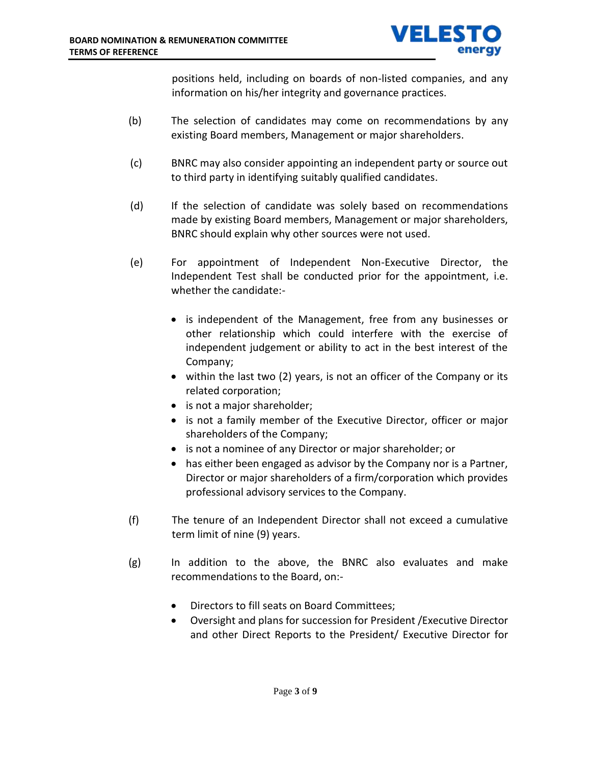

positions held, including on boards of non-listed companies, and any information on his/her integrity and governance practices.

- (b) The selection of candidates may come on recommendations by any existing Board members, Management or major shareholders.
- (c) BNRC may also consider appointing an independent party or source out to third party in identifying suitably qualified candidates.
- (d) If the selection of candidate was solely based on recommendations made by existing Board members, Management or major shareholders, BNRC should explain why other sources were not used.
- (e) For appointment of Independent Non-Executive Director, the Independent Test shall be conducted prior for the appointment, i.e. whether the candidate:-
	- is independent of the Management, free from any businesses or other relationship which could interfere with the exercise of independent judgement or ability to act in the best interest of the Company;
	- within the last two (2) years, is not an officer of the Company or its related corporation;
	- is not a major shareholder;
	- is not a family member of the Executive Director, officer or major shareholders of the Company;
	- is not a nominee of any Director or major shareholder; or
	- has either been engaged as advisor by the Company nor is a Partner, Director or major shareholders of a firm/corporation which provides professional advisory services to the Company.
- (f) The tenure of an Independent Director shall not exceed a cumulative term limit of nine (9) years.
- (g) In addition to the above, the BNRC also evaluates and make recommendations to the Board, on:-
	- Directors to fill seats on Board Committees;
	- Oversight and plans for succession for President /Executive Director and other Direct Reports to the President/ Executive Director for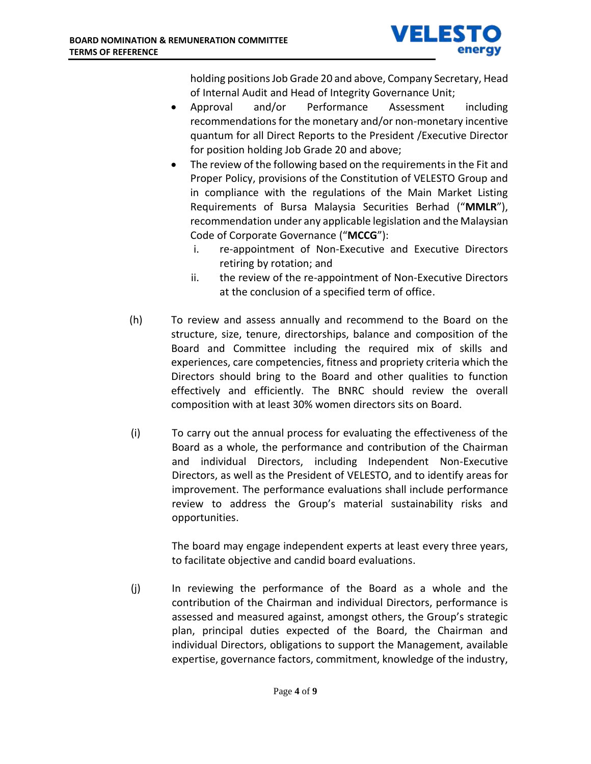

holding positions Job Grade 20 and above, Company Secretary, Head of Internal Audit and Head of Integrity Governance Unit;

- Approval and/or Performance Assessment including recommendations for the monetary and/or non-monetary incentive quantum for all Direct Reports to the President /Executive Director for position holding Job Grade 20 and above;
- The review of the following based on the requirements in the Fit and Proper Policy, provisions of the Constitution of VELESTO Group and in compliance with the regulations of the Main Market Listing Requirements of Bursa Malaysia Securities Berhad ("**MMLR**"), recommendation under any applicable legislation and the Malaysian Code of Corporate Governance ("**MCCG**"):
	- i. re-appointment of Non-Executive and Executive Directors retiring by rotation; and
	- ii. the review of the re-appointment of Non-Executive Directors at the conclusion of a specified term of office.
- (h) To review and assess annually and recommend to the Board on the structure, size, tenure, directorships, balance and composition of the Board and Committee including the required mix of skills and experiences, care competencies, fitness and propriety criteria which the Directors should bring to the Board and other qualities to function effectively and efficiently. The BNRC should review the overall composition with at least 30% women directors sits on Board.
- (i) To carry out the annual process for evaluating the effectiveness of the Board as a whole, the performance and contribution of the Chairman and individual Directors, including Independent Non-Executive Directors, as well as the President of VELESTO, and to identify areas for improvement. The performance evaluations shall include performance review to address the Group's material sustainability risks and opportunities.

The board may engage independent experts at least every three years, to facilitate objective and candid board evaluations.

(j) In reviewing the performance of the Board as a whole and the contribution of the Chairman and individual Directors, performance is assessed and measured against, amongst others, the Group's strategic plan, principal duties expected of the Board, the Chairman and individual Directors, obligations to support the Management, available expertise, governance factors, commitment, knowledge of the industry,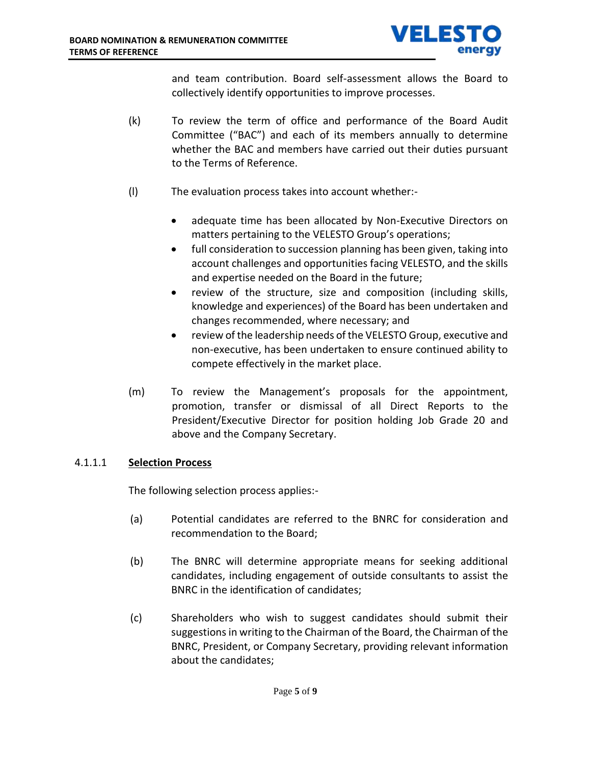

and team contribution. Board self-assessment allows the Board to collectively identify opportunities to improve processes.

- (k) To review the term of office and performance of the Board Audit Committee ("BAC") and each of its members annually to determine whether the BAC and members have carried out their duties pursuant to the Terms of Reference.
- (l) The evaluation process takes into account whether:-
	- adequate time has been allocated by Non-Executive Directors on matters pertaining to the VELESTO Group's operations;
	- full consideration to succession planning has been given, taking into account challenges and opportunities facing VELESTO, and the skills and expertise needed on the Board in the future;
	- review of the structure, size and composition (including skills, knowledge and experiences) of the Board has been undertaken and changes recommended, where necessary; and
	- review of the leadership needs of the VELESTO Group, executive and non-executive, has been undertaken to ensure continued ability to compete effectively in the market place.
- (m) To review the Management's proposals for the appointment, promotion, transfer or dismissal of all Direct Reports to the President/Executive Director for position holding Job Grade 20 and above and the Company Secretary.

## 4.1.1.1 **Selection Process**

The following selection process applies:-

- (a) Potential candidates are referred to the BNRC for consideration and recommendation to the Board;
- (b) The BNRC will determine appropriate means for seeking additional candidates, including engagement of outside consultants to assist the BNRC in the identification of candidates;
- (c) Shareholders who wish to suggest candidates should submit their suggestions in writing to the Chairman of the Board, the Chairman of the BNRC, President, or Company Secretary, providing relevant information about the candidates;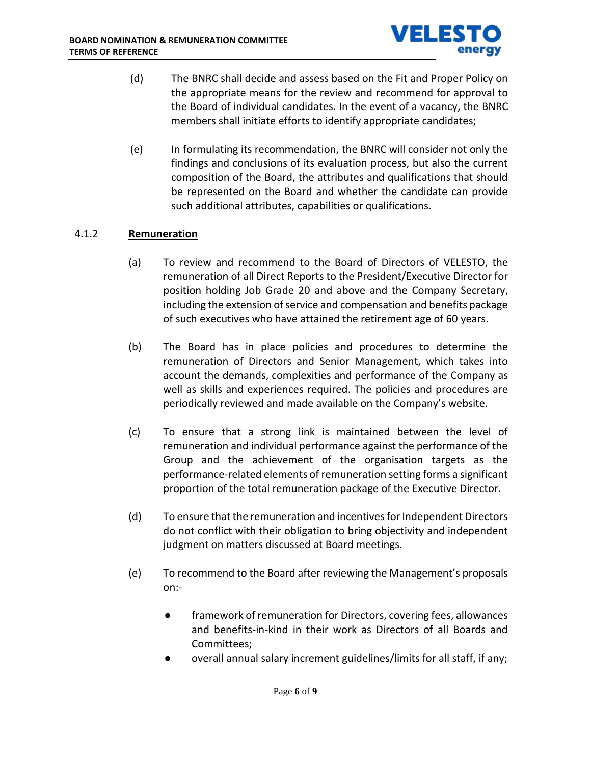

- (d) The BNRC shall decide and assess based on the Fit and Proper Policy on the appropriate means for the review and recommend for approval to the Board of individual candidates. In the event of a vacancy, the BNRC members shall initiate efforts to identify appropriate candidates;
- (e) In formulating its recommendation, the BNRC will consider not only the findings and conclusions of its evaluation process, but also the current composition of the Board, the attributes and qualifications that should be represented on the Board and whether the candidate can provide such additional attributes, capabilities or qualifications.

## 4.1.2 **Remuneration**

- (a) To review and recommend to the Board of Directors of VELESTO, the remuneration of all Direct Reports to the President/Executive Director for position holding Job Grade 20 and above and the Company Secretary, including the extension of service and compensation and benefits package of such executives who have attained the retirement age of 60 years.
- (b) The Board has in place policies and procedures to determine the remuneration of Directors and Senior Management, which takes into account the demands, complexities and performance of the Company as well as skills and experiences required. The policies and procedures are periodically reviewed and made available on the Company's website.
- (c) To ensure that a strong link is maintained between the level of remuneration and individual performance against the performance of the Group and the achievement of the organisation targets as the performance-related elements of remuneration setting forms a significant proportion of the total remuneration package of the Executive Director.
- (d) To ensure that the remuneration and incentives for Independent Directors do not conflict with their obligation to bring objectivity and independent judgment on matters discussed at Board meetings.
- (e) To recommend to the Board after reviewing the Management's proposals on:
	- framework of remuneration for Directors, covering fees, allowances and benefits-in-kind in their work as Directors of all Boards and Committees;
	- overall annual salary increment guidelines/limits for all staff, if any;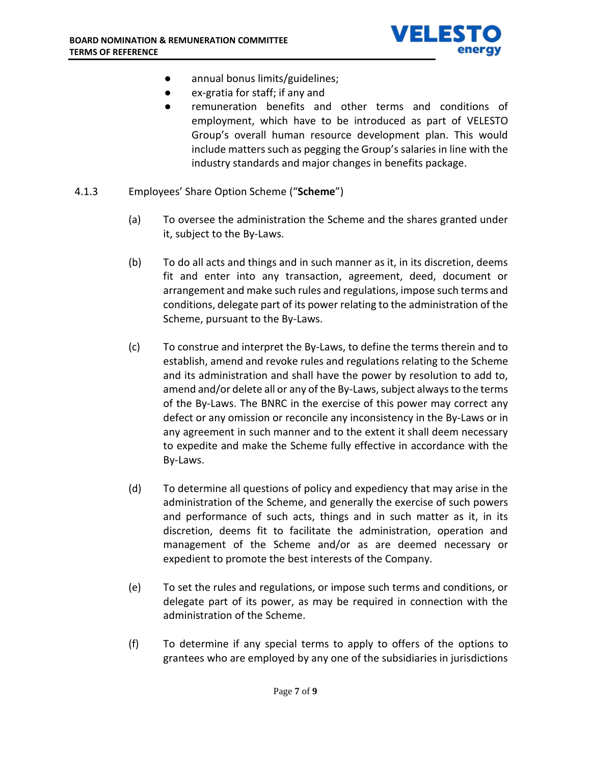

- annual bonus limits/guidelines;
- ex-gratia for staff; if any and
- remuneration benefits and other terms and conditions of employment, which have to be introduced as part of VELESTO Group's overall human resource development plan. This would include matters such as pegging the Group's salaries in line with the industry standards and major changes in benefits package.
- 4.1.3 Employees' Share Option Scheme ("**Scheme**")
	- (a) To oversee the administration the Scheme and the shares granted under it, subject to the By-Laws.
	- (b) To do all acts and things and in such manner as it, in its discretion, deems fit and enter into any transaction, agreement, deed, document or arrangement and make such rules and regulations, impose such terms and conditions, delegate part of its power relating to the administration of the Scheme, pursuant to the By-Laws.
	- (c) To construe and interpret the By-Laws, to define the terms therein and to establish, amend and revoke rules and regulations relating to the Scheme and its administration and shall have the power by resolution to add to, amend and/or delete all or any of the By-Laws, subject always to the terms of the By-Laws. The BNRC in the exercise of this power may correct any defect or any omission or reconcile any inconsistency in the By-Laws or in any agreement in such manner and to the extent it shall deem necessary to expedite and make the Scheme fully effective in accordance with the By-Laws.
	- (d) To determine all questions of policy and expediency that may arise in the administration of the Scheme, and generally the exercise of such powers and performance of such acts, things and in such matter as it, in its discretion, deems fit to facilitate the administration, operation and management of the Scheme and/or as are deemed necessary or expedient to promote the best interests of the Company.
	- (e) To set the rules and regulations, or impose such terms and conditions, or delegate part of its power, as may be required in connection with the administration of the Scheme.
	- (f) To determine if any special terms to apply to offers of the options to grantees who are employed by any one of the subsidiaries in jurisdictions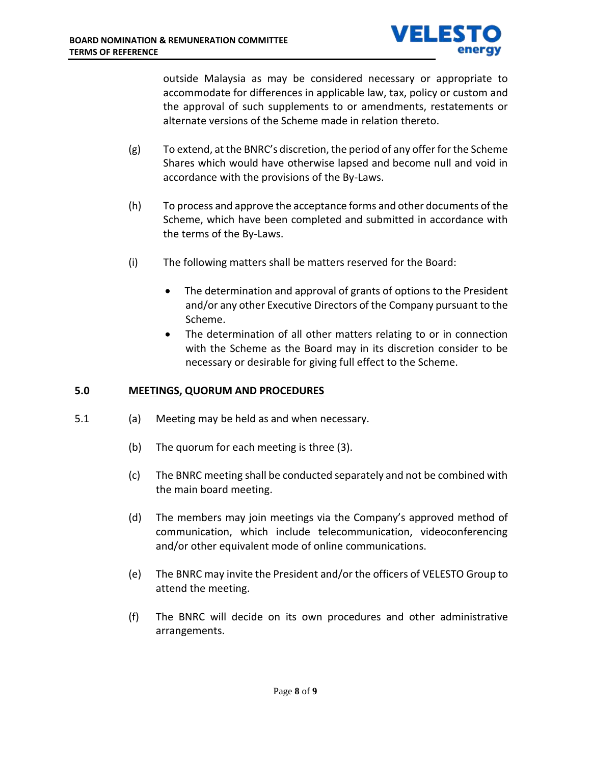

outside Malaysia as may be considered necessary or appropriate to accommodate for differences in applicable law, tax, policy or custom and the approval of such supplements to or amendments, restatements or alternate versions of the Scheme made in relation thereto.

- (g) To extend, at the BNRC's discretion, the period of any offer for the Scheme Shares which would have otherwise lapsed and become null and void in accordance with the provisions of the By-Laws.
- (h) To process and approve the acceptance forms and other documents of the Scheme, which have been completed and submitted in accordance with the terms of the By-Laws.
- (i) The following matters shall be matters reserved for the Board:
	- The determination and approval of grants of options to the President and/or any other Executive Directors of the Company pursuant to the Scheme.
	- The determination of all other matters relating to or in connection with the Scheme as the Board may in its discretion consider to be necessary or desirable for giving full effect to the Scheme.

## **5.0 MEETINGS, QUORUM AND PROCEDURES**

- 5.1 (a) Meeting may be held as and when necessary.
	- (b) The quorum for each meeting is three (3).
	- (c) The BNRC meeting shall be conducted separately and not be combined with the main board meeting.
	- (d) The members may join meetings via the Company's approved method of communication, which include telecommunication, videoconferencing and/or other equivalent mode of online communications.
	- (e) The BNRC may invite the President and/or the officers of VELESTO Group to attend the meeting.
	- (f) The BNRC will decide on its own procedures and other administrative arrangements.